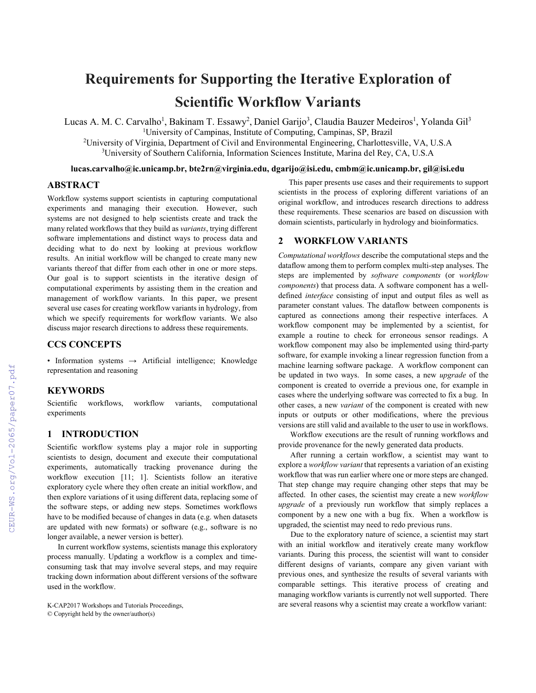# **Requirements for Supporting the Iterative Exploration of Scientific Workflow Variants**

Lucas A. M. C. Carvalho<sup>1</sup>, Bakinam T. Essawy<sup>2</sup>, Daniel Garijo<sup>3</sup>, Claudia Bauzer Medeiros<sup>1</sup>, Yolanda Gil<sup>3</sup>

<sup>1</sup>University of Campinas, Institute of Computing, Campinas, SP, Brazil

<sup>2</sup>University of Virginia, Department of Civil and Environmental Engineering, Charlottesville, VA, U.S.A <sup>3</sup>University of Southern California, Information Sciences Institute, Marina del Rey, CA, U.S.A

**lucas.carvalho@ic.unicamp.br, bte2rn@virginia.edu, dgarijo@isi.edu, cmbm@ic.unicamp.br, gil@isi.edu**

# **ABSTRACT**

Workflow systems support scientists in capturing computational experiments and managing their execution. However, such systems are not designed to help scientists create and track the many related workflows that they build as *variants*, trying different software implementations and distinct ways to process data and deciding what to do next by looking at previous workflow results. An initial workflow will be changed to create many new variants thereof that differ from each other in one or more steps. Our goal is to support scientists in the iterative design of computational experiments by assisting them in the creation and management of workflow variants. In this paper, we present several use cases for creating workflow variants in hydrology, from which we specify requirements for workflow variants. We also discuss major research directions to address these requirements.

## **CCS CONCEPTS**

• Information systems → Artificial intelligence; Knowledge representation and reasoning

#### **KEYWORDS**

Scientific workflows, workflow variants, computational experiments

# **1 INTRODUCTION**

Scientific workflow systems play a major role in supporting scientists to design, document and execute their computational experiments, automatically tracking provenance during the workflow execution [11; 1]. Scientists follow an iterative exploratory cycle where they often create an initial workflow, and then explore variations of it using different data, replacing some of the software steps, or adding new steps. Sometimes workflows have to be modified because of changes in data (e.g. when datasets are updated with new formats) or software (e.g., software is no longer available, a newer version is better).

In current workflow systems, scientists manage this exploratory process manually. Updating a workflow is a complex and timeconsuming task that may involve several steps, and may require tracking down information about different versions of the software used in the workflow.

© Copyright held by the owner/author(s)

This paper presents use cases and their requirements to support scientists in the process of exploring different variations of an original workflow, and introduces research directions to address these requirements. These scenarios are based on discussion with domain scientists, particularly in hydrology and bioinformatics.

# **2 WORKFLOW VARIANTS**

*Computational workflows* describe the computational steps and the dataflow among them to perform complex multi-step analyses. The steps are implemented by *software components* (or *workflow components*) that process data. A software component has a welldefined *interface* consisting of input and output files as well as parameter constant values. The dataflow between components is captured as connections among their respective interfaces. A workflow component may be implemented by a scientist, for example a routine to check for erroneous sensor readings. A workflow component may also be implemented using third-party software, for example invoking a linear regression function from a machine learning software package. A workflow component can be updated in two ways. In some cases, a new *upgrade* of the component is created to override a previous one, for example in cases where the underlying software was corrected to fix a bug. In other cases, a new *variant* of the component is created with new inputs or outputs or other modifications, where the previous versions are still valid and available to the user to use in workflows.

Workflow executions are the result of running workflows and provide provenance for the newly generated data products.

After running a certain workflow, a scientist may want to explore a *workflow variant* that represents a variation of an existing workflow that was run earlier where one or more steps are changed. That step change may require changing other steps that may be affected. In other cases, the scientist may create a new *workflow upgrade* of a previously run workflow that simply replaces a component by a new one with a bug fix. When a workflow is upgraded, the scientist may need to redo previous runs.

Due to the exploratory nature of science, a scientist may start with an initial workflow and iteratively create many workflow variants. During this process, the scientist will want to consider different designs of variants, compare any given variant with previous ones, and synthesize the results of several variants with comparable settings. This iterative process of creating and managing workflow variants is currently not well supported. There K-CAP2017 Workshops and Tutorials Proceedings, and the several reasons why a scientist may create a workflow variant: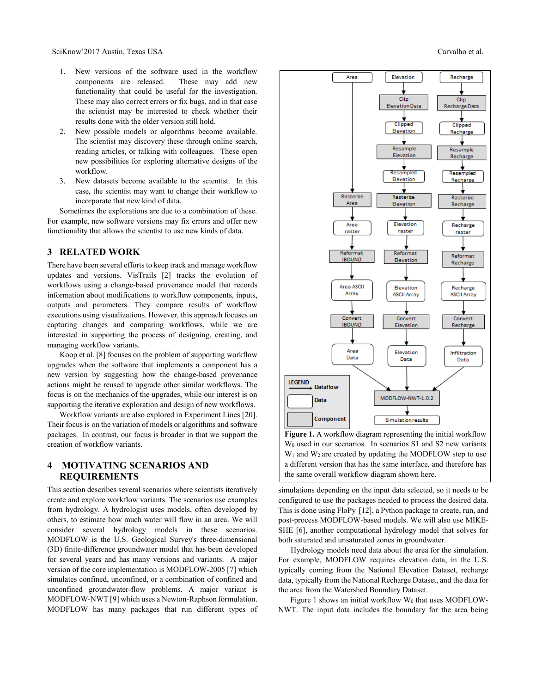- 1. New versions of the software used in the workflow components are released. These may add new functionality that could be useful for the investigation. These may also correct errors or fix bugs, and in that case the scientist may be interested to check whether their results done with the older version still hold.
- 2. New possible models or algorithms become available. The scientist may discovery these through online search, reading articles, or talking with colleagues. These open new possibilities for exploring alternative designs of the workflow.
- 3. New datasets become available to the scientist. In this case, the scientist may want to change their workflow to incorporate that new kind of data.

Sometimes the explorations are due to a combination of these. For example, new software versions may fix errors and offer new functionality that allows the scientist to use new kinds of data.

#### **3 RELATED WORK**

There have been several efforts to keep track and manage workflow updates and versions. VisTrails [2] tracks the evolution of workflows using a change-based provenance model that records information about modifications to workflow components, inputs, outputs and parameters. They compare results of workflow executions using visualizations. However, this approach focuses on capturing changes and comparing workflows, while we are interested in supporting the process of designing, creating, and managing workflow variants.

Koop et al. [8] focuses on the problem of supporting workflow upgrades when the software that implements a component has a new version by suggesting how the change-based provenance actions might be reused to upgrade other similar workflows. The focus is on the mechanics of the upgrades, while our interest is on supporting the iterative exploration and design of new workflows.

Workflow variants are also explored in Experiment Lines [20]. Their focus is on the variation of models or algorithms and software packages. In contrast, our focus is broader in that we support the creation of workflow variants.

## **4 MOTIVATING SCENARIOS AND REQUIREMENTS**

This section describes several scenarios where scientists iteratively create and explore workflow variants. The scenarios use examples from hydrology. A hydrologist uses models, often developed by others, to estimate how much water will flow in an area. We will consider several hydrology models in these scenarios. MODFLOW is the U.S. Geological Survey's three-dimensional (3D) finite-difference groundwater model that has been developed for several years and has many versions and variants. A major version of the core implementation is MODFLOW-2005 [7] which simulates confined, unconfined, or a combination of confined and unconfined groundwater-flow problems. A major variant is MODFLOW-NWT [9] which uses a Newton-Raphson formulation. MODFLOW has many packages that run different types of



**Figure 1.** A workflow diagram representing the initial workflow W<sup>0</sup> used in our scenarios. In scenarios S1 and S2 new variants  $W_1$  and  $W_2$  are created by updating the MODFLOW step to use a different version that has the same interface, and therefore has the same overall workflow diagram shown here.

simulations depending on the input data selected, so it needs to be configured to use the packages needed to process the desired data. This is done using FloPy [12], a Python package to create, run, and post-process MODFLOW-based models. We will also use MIKE-SHE [6], another computational hydrology model that solves for both saturated and unsaturated zones in groundwater.

Hydrology models need data about the area for the simulation. For example, MODFLOW requires elevation data, in the U.S. typically coming from the National Elevation Dataset, recharge data, typically from the National Recharge Dataset, and the data for the area from the Watershed Boundary Dataset.

Figure 1 shows an initial workflow  $W_0$  that uses MODFLOW-NWT. The input data includes the boundary for the area being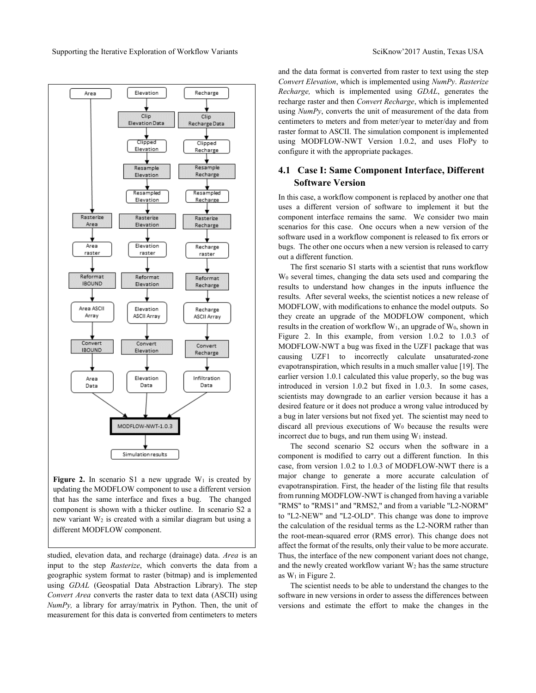

**Figure 2.** In scenario S1 a new upgrade  $W_1$  is created by updating the MODFLOW component to use a different version that has the same interface and fixes a bug. The changed component is shown with a thicker outline. In scenario S2 a new variant W<sup>2</sup> is created with a similar diagram but using a different MODFLOW component.

studied, elevation data, and recharge (drainage) data. *Area* is an input to the step *Rasterize*, which converts the data from a geographic system format to raster (bitmap) and is implemented using *GDAL* (Geospatial Data Abstraction Library). The step *Convert Area* converts the raster data to text data (ASCII) using *NumPy,* a library for array/matrix in Python. Then, the unit of measurement for this data is converted from centimeters to meters

and the data format is converted from raster to text using the step *Convert Elevation*, which is implemented using *NumPy*. *Rasterize Recharge,* which is implemented using *GDAL*, generates the recharge raster and then *Convert Recharge*, which is implemented using *NumPy*, converts the unit of measurement of the data from centimeters to meters and from meter/year to meter/day and from raster format to ASCII. The simulation component is implemented using MODFLOW-NWT Version 1.0.2, and uses FloPy to configure it with the appropriate packages.

## **4.1 Case I: Same Component Interface, Different Software Version**

In this case, a workflow component is replaced by another one that uses a different version of software to implement it but the component interface remains the same. We consider two main scenarios for this case. One occurs when a new version of the software used in a workflow component is released to fix errors or bugs. The other one occurs when a new version is released to carry out a different function.

The first scenario S1 starts with a scientist that runs workflow W<sup>0</sup> several times, changing the data sets used and comparing the results to understand how changes in the inputs influence the results. After several weeks, the scientist notices a new release of MODFLOW, with modifications to enhance the model outputs. So they create an upgrade of the MODFLOW component, which results in the creation of workflow  $W_1$ , an upgrade of  $W_0$ , shown in Figure 2. In this example, from version 1.0.2 to 1.0.3 of MODFLOW-NWT a bug was fixed in the UZF1 package that was causing UZF1 to incorrectly calculate unsaturated-zone evapotranspiration, which results in a much smaller value [19]. The earlier version 1.0.1 calculated this value properly, so the bug was introduced in version 1.0.2 but fixed in 1.0.3. In some cases, scientists may downgrade to an earlier version because it has a desired feature or it does not produce a wrong value introduced by a bug in later versions but not fixed yet. The scientist may need to discard all previous executions of  $W<sub>0</sub>$  because the results were incorrect due to bugs, and run them using  $W_1$  instead.

The second scenario S2 occurs when the software in a component is modified to carry out a different function. In this case, from version 1.0.2 to 1.0.3 of MODFLOW-NWT there is a major change to generate a more accurate calculation of evapotranspiration. First, the header of the listing file that results from running MODFLOW-NWT is changed from having a variable "RMS" to "RMS1" and "RMS2," and from a variable "L2-NORM" to "L2-NEW" and "L2-OLD". This change was done to improve the calculation of the residual terms as the L2-NORM rather than the root-mean-squared error (RMS error). This change does not affect the format of the results, only their value to be more accurate. Thus, the interface of the new component variant does not change, and the newly created workflow variant  $W_2$  has the same structure as  $W_1$  in Figure 2.

The scientist needs to be able to understand the changes to the software in new versions in order to assess the differences between versions and estimate the effort to make the changes in the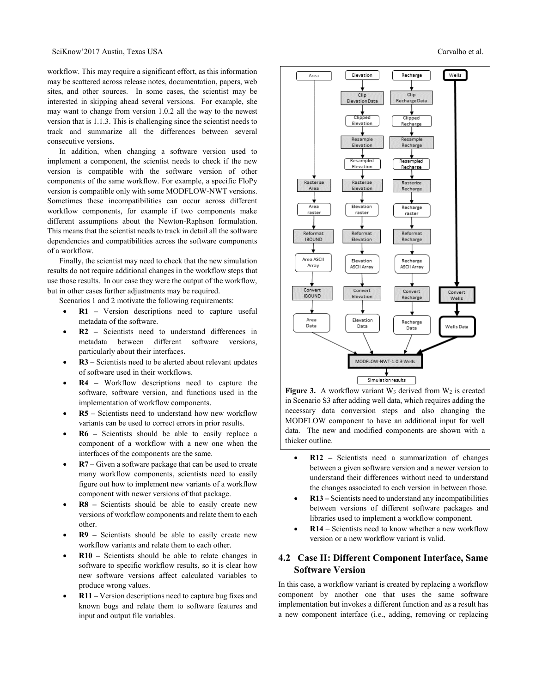workflow. This may require a significant effort, as this information may be scattered across release notes, documentation, papers, web sites, and other sources. In some cases, the scientist may be interested in skipping ahead several versions. For example, she may want to change from version 1.0.2 all the way to the newest version that is 1.1.3. This is challenging since the scientist needs to track and summarize all the differences between several consecutive versions.

In addition, when changing a software version used to implement a component, the scientist needs to check if the new version is compatible with the software version of other components of the same workflow. For example, a specific FloPy version is compatible only with some MODFLOW-NWT versions. Sometimes these incompatibilities can occur across different workflow components, for example if two components make different assumptions about the Newton-Raphson formulation. This means that the scientist needs to track in detail all the software dependencies and compatibilities across the software components of a workflow.

Finally, the scientist may need to check that the new simulation results do not require additional changes in the workflow steps that use those results. In our case they were the output of the workflow, but in other cases further adjustments may be required.

Scenarios 1 and 2 motivate the following requirements:

- **R1 –** Version descriptions need to capture useful metadata of the software.
- **R2 –** Scientists need to understand differences in metadata between different software versions, particularly about their interfaces.
- **R3 –** Scientists need to be alerted about relevant updates of software used in their workflows.
- **R4 –** Workflow descriptions need to capture the software, software version, and functions used in the implementation of workflow components.
- **R5** Scientists need to understand how new workflow variants can be used to correct errors in prior results.
- **R6 –** Scientists should be able to easily replace a component of a workflow with a new one when the interfaces of the components are the same.
- **R7 –** Given a software package that can be used to create many workflow components, scientists need to easily figure out how to implement new variants of a workflow component with newer versions of that package.
- **R8 –** Scientists should be able to easily create new versions of workflow components and relate them to each other.
- **R9 –** Scientists should be able to easily create new workflow variants and relate them to each other.
- **R10 –** Scientists should be able to relate changes in software to specific workflow results, so it is clear how new software versions affect calculated variables to produce wrong values.
- **R11 –** Version descriptions need to capture bug fixes and known bugs and relate them to software features and input and output file variables.



**Figure 3.** A workflow variant  $W_3$  derived from  $W_2$  is created in Scenario S3 after adding well data, which requires adding the necessary data conversion steps and also changing the MODFLOW component to have an additional input for well data. The new and modified components are shown with a thicker outline.

- **R12 –** Scientists need a summarization of changes between a given software version and a newer version to understand their differences without need to understand the changes associated to each version in between those.
- **R13 –** Scientists need to understand any incompatibilities between versions of different software packages and libraries used to implement a workflow component.
- **R14** Scientists need to know whether a new workflow version or a new workflow variant is valid.

# **4.2 Case II: Different Component Interface, Same Software Version**

In this case, a workflow variant is created by replacing a workflow component by another one that uses the same software implementation but invokes a different function and as a result has a new component interface (i.e., adding, removing or replacing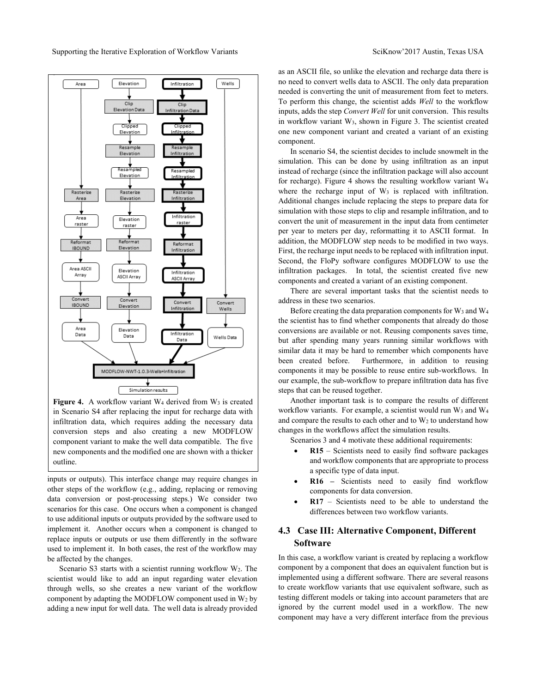

Figure 4. A workflow variant W<sub>4</sub> derived from W<sub>3</sub> is created in Scenario S4 after replacing the input for recharge data with infiltration data, which requires adding the necessary data conversion steps and also creating a new MODFLOW component variant to make the well data compatible. The five new components and the modified one are shown with a thicker outline.

inputs or outputs). This interface change may require changes in other steps of the workflow (e.g., adding, replacing or removing data conversion or post-processing steps.) We consider two scenarios for this case. One occurs when a component is changed to use additional inputs or outputs provided by the software used to implement it. Another occurs when a component is changed to replace inputs or outputs or use them differently in the software used to implement it. In both cases, the rest of the workflow may be affected by the changes.

Scenario S3 starts with a scientist running workflow  $W_2$ . The scientist would like to add an input regarding water elevation through wells, so she creates a new variant of the workflow component by adapting the MODFLOW component used in  $W_2$  by adding a new input for well data. The well data is already provided as an ASCII file, so unlike the elevation and recharge data there is no need to convert wells data to ASCII. The only data preparation needed is converting the unit of measurement from feet to meters. To perform this change, the scientist adds *Well* to the workflow inputs, adds the step *Convert Well* for unit conversion. This results in workflow variant W3, shown in Figure 3. The scientist created one new component variant and created a variant of an existing component.

In scenario S4, the scientist decides to include snowmelt in the simulation. This can be done by using infiltration as an input instead of recharge (since the infiltration package will also account for recharge). Figure 4 shows the resulting workflow variant W<sup>4</sup> where the recharge input of  $W_3$  is replaced with infiltration. Additional changes include replacing the steps to prepare data for simulation with those steps to clip and resample infiltration, and to convert the unit of measurement in the input data from centimeter per year to meters per day, reformatting it to ASCII format. In addition, the MODFLOW step needs to be modified in two ways. First, the recharge input needs to be replaced with infiltration input. Second, the FloPy software configures MODFLOW to use the infiltration packages. In total, the scientist created five new components and created a variant of an existing component.

There are several important tasks that the scientist needs to address in these two scenarios.

Before creating the data preparation components for W<sub>3</sub> and W<sub>4</sub> the scientist has to find whether components that already do those conversions are available or not. Reusing components saves time, but after spending many years running similar workflows with similar data it may be hard to remember which components have been created before. Furthermore, in addition to reusing components it may be possible to reuse entire sub-workflows. In our example, the sub-workflow to prepare infiltration data has five steps that can be reused together.

Another important task is to compare the results of different workflow variants. For example, a scientist would run  $W_3$  and  $W_4$ and compare the results to each other and to  $W_2$  to understand how changes in the workflows affect the simulation results.

Scenarios 3 and 4 motivate these additional requirements:

- **R15** Scientists need to easily find software packages and workflow components that are appropriate to process a specific type of data input.
- **R16 –** Scientists need to easily find workflow components for data conversion.
- **R17** Scientists need to be able to understand the differences between two workflow variants.

## **4.3 Case III: Alternative Component, Different Software**

In this case, a workflow variant is created by replacing a workflow component by a component that does an equivalent function but is implemented using a different software. There are several reasons to create workflow variants that use equivalent software, such as testing different models or taking into account parameters that are ignored by the current model used in a workflow. The new component may have a very different interface from the previous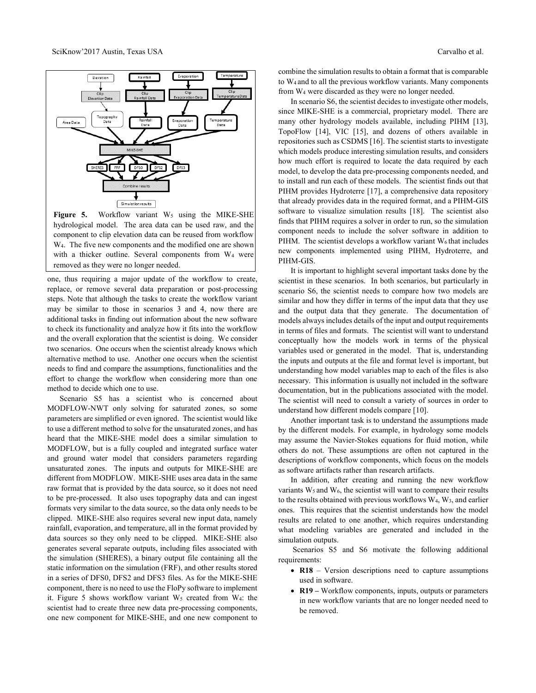

**Figure 5.** Workflow variant  $W_5$  using the MIKE-SHE hydrological model. The area data can be used raw, and the component to clip elevation data can be reused from workflow W4. The five new components and the modified one are shown with a thicker outline. Several components from W<sup>4</sup> were removed as they were no longer needed.

one, thus requiring a major update of the workflow to create, replace, or remove several data preparation or post-processing steps. Note that although the tasks to create the workflow variant may be similar to those in scenarios 3 and 4, now there are additional tasks in finding out information about the new software to check its functionality and analyze how it fits into the workflow and the overall exploration that the scientist is doing. We consider two scenarios. One occurs when the scientist already knows which alternative method to use. Another one occurs when the scientist needs to find and compare the assumptions, functionalities and the effort to change the workflow when considering more than one method to decide which one to use.

Scenario S5 has a scientist who is concerned about MODFLOW-NWT only solving for saturated zones, so some parameters are simplified or even ignored. The scientist would like to use a different method to solve for the unsaturated zones, and has heard that the MIKE-SHE model does a similar simulation to MODFLOW, but is a fully coupled and integrated surface water and ground water model that considers parameters regarding unsaturated zones. The inputs and outputs for MIKE-SHE are different from MODFLOW. MIKE-SHE uses area data in the same raw format that is provided by the data source, so it does not need to be pre-processed. It also uses topography data and can ingest formats very similar to the data source, so the data only needs to be clipped. MIKE-SHE also requires several new input data, namely rainfall, evaporation, and temperature, all in the format provided by data sources so they only need to be clipped. MIKE-SHE also generates several separate outputs, including files associated with the simulation (SHERES), a binary output file containing all the static information on the simulation (FRF), and other results stored in a series of DFS0, DFS2 and DFS3 files. As for the MIKE-SHE component, there is no need to use the FloPy software to implement it. Figure 5 shows workflow variant  $W_5$  created from  $W_4$ : the scientist had to create three new data pre-processing components, one new component for MIKE-SHE, and one new component to

combine the simulation results to obtain a format that is comparable to W4 and to all the previous workflow variants. Many components from W<sup>4</sup> were discarded as they were no longer needed.

In scenario S6, the scientist decides to investigate other models, since MIKE-SHE is a commercial, proprietary model. There are many other hydrology models available, including PIHM [13], TopoFlow [14], VIC [15], and dozens of others available in repositories such as CSDMS [16]. The scientist starts to investigate which models produce interesting simulation results, and considers how much effort is required to locate the data required by each model, to develop the data pre-processing components needed, and to install and run each of these models. The scientist finds out that PIHM provides Hydroterre [17], a comprehensive data repository that already provides data in the required format, and a PIHM-GIS software to visualize simulation results [18]. The scientist also finds that PIHM requires a solver in order to run, so the simulation component needs to include the solver software in addition to PIHM. The scientist develops a workflow variant  $W_6$  that includes new components implemented using PIHM, Hydroterre, and PIHM-GIS.

It is important to highlight several important tasks done by the scientist in these scenarios. In both scenarios, but particularly in scenario S6, the scientist needs to compare how two models are similar and how they differ in terms of the input data that they use and the output data that they generate. The documentation of models always includes details of the input and output requirements in terms of files and formats. The scientist will want to understand conceptually how the models work in terms of the physical variables used or generated in the model. That is, understanding the inputs and outputs at the file and format level is important, but understanding how model variables map to each of the files is also necessary. This information is usually not included in the software documentation, but in the publications associated with the model. The scientist will need to consult a variety of sources in order to understand how different models compare [10].

Another important task is to understand the assumptions made by the different models. For example, in hydrology some models may assume the Navier-Stokes equations for fluid motion, while others do not. These assumptions are often not captured in the descriptions of workflow components, which focus on the models as software artifacts rather than research artifacts.

In addition, after creating and running the new workflow variants  $W_5$  and  $W_6$ , the scientist will want to compare their results to the results obtained with previous workflows W4, W3, and earlier ones. This requires that the scientist understands how the model results are related to one another, which requires understanding what modeling variables are generated and included in the simulation outputs.

Scenarios S5 and S6 motivate the following additional requirements:

- R18 Version descriptions need to capture assumptions used in software.
- **R19 –** Workflow components, inputs, outputs or parameters in new workflow variants that are no longer needed need to be removed.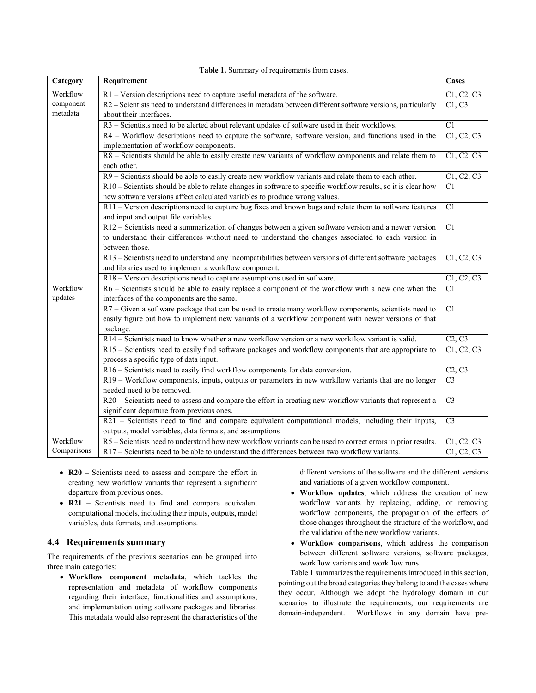| Category    | Requirement                                                                                                    | <b>Cases</b>    |
|-------------|----------------------------------------------------------------------------------------------------------------|-----------------|
| Workflow    | $\overline{R1}$ – Version descriptions need to capture useful metadata of the software.                        | C1, C2, C3      |
| component   | R2 - Scientists need to understand differences in metadata between different software versions, particularly   | C1, C3          |
| metadata    | about their interfaces.                                                                                        |                 |
|             | R3 – Scientists need to be alerted about relevant updates of software used in their workflows.                 | $\overline{C1}$ |
|             | R4 – Workflow descriptions need to capture the software, software version, and functions used in the           | C1, C2, C3      |
|             | implementation of workflow components.                                                                         |                 |
|             | R8 - Scientists should be able to easily create new variants of workflow components and relate them to         | C1, C2, C3      |
|             | each other.                                                                                                    |                 |
|             | R9 - Scientists should be able to easily create new workflow variants and relate them to each other.           | C1, C2, C3      |
|             | R10 - Scientists should be able to relate changes in software to specific workflow results, so it is clear how | C1              |
|             | new software versions affect calculated variables to produce wrong values.                                     |                 |
|             | R11 – Version descriptions need to capture bug fixes and known bugs and relate them to software features       | C1              |
|             | and input and output file variables.                                                                           |                 |
|             | R12 - Scientists need a summarization of changes between a given software version and a newer version          | C1              |
|             | to understand their differences without need to understand the changes associated to each version in           |                 |
|             | between those.                                                                                                 |                 |
|             | R13 - Scientists need to understand any incompatibilities between versions of different software packages      | C1, C2, C3      |
|             | and libraries used to implement a workflow component.                                                          |                 |
|             | R18 – Version descriptions need to capture assumptions used in software.                                       | C1, C2, C3      |
| Workflow    | R6 – Scientists should be able to easily replace a component of the workflow with a new one when the           | C1              |
| updates     | interfaces of the components are the same.                                                                     |                 |
|             | R7 - Given a software package that can be used to create many workflow components, scientists need to          | $\overline{C1}$ |
|             | easily figure out how to implement new variants of a workflow component with newer versions of that            |                 |
|             | package.                                                                                                       |                 |
|             | R14 – Scientists need to know whether a new workflow version or a new workflow variant is valid.               | C2, C3          |
|             | R15 – Scientists need to easily find software packages and workflow components that are appropriate to         | C1, C2, C3      |
|             | process a specific type of data input.                                                                         |                 |
|             | R16 - Scientists need to easily find workflow components for data conversion.                                  | C2, C3          |
|             | R19 – Workflow components, inputs, outputs or parameters in new workflow variants that are no longer           | C <sub>3</sub>  |
|             | needed need to be removed.                                                                                     |                 |
|             | R20 - Scientists need to assess and compare the effort in creating new workflow variants that represent a      | C <sub>3</sub>  |
|             | significant departure from previous ones.                                                                      |                 |
|             | R21 - Scientists need to find and compare equivalent computational models, including their inputs,             | C <sub>3</sub>  |
|             | outputs, model variables, data formats, and assumptions                                                        |                 |
| Workflow    | R5 – Scientists need to understand how new workflow variants can be used to correct errors in prior results.   | C1, C2, C3      |
| Comparisons | R17 – Scientists need to be able to understand the differences between two workflow variants.                  | C1, C2, C3      |

**Table 1.** Summary of requirements from cases.

- **R20 –** Scientists need to assess and compare the effort in creating new workflow variants that represent a significant departure from previous ones.
- R21 Scientists need to find and compare equivalent computational models, including their inputs, outputs, model variables, data formats, and assumptions.

#### **4.4 Requirements summary**

The requirements of the previous scenarios can be grouped into three main categories:

 **Workflow component metadata**, which tackles the representation and metadata of workflow components regarding their interface, functionalities and assumptions, and implementation using software packages and libraries. This metadata would also represent the characteristics of the different versions of the software and the different versions and variations of a given workflow component.

- **Workflow updates**, which address the creation of new workflow variants by replacing, adding, or removing workflow components, the propagation of the effects of those changes throughout the structure of the workflow, and the validation of the new workflow variants.
- **Workflow comparisons**, which address the comparison between different software versions, software packages, workflow variants and workflow runs.

Table 1 summarizes the requirements introduced in this section, pointing out the broad categories they belong to and the cases where they occur. Although we adopt the hydrology domain in our scenarios to illustrate the requirements, our requirements are domain-independent. Workflows in any domain have pre